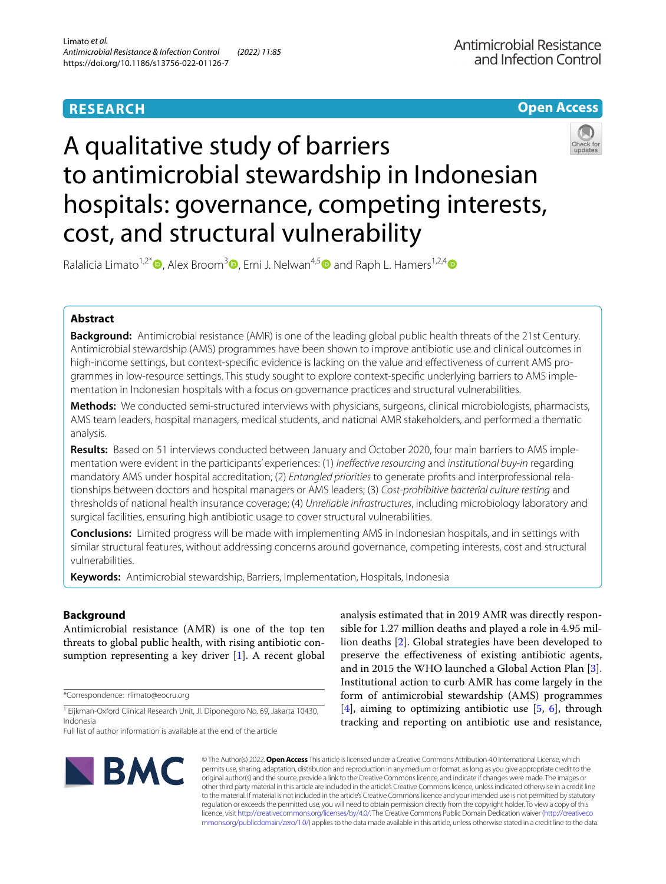# **RESEARCH**

## **Open Access**



# A qualitative study of barriers to antimicrobial stewardship in Indonesian hospitals: governance, competing interests, cost, and structural vulnerability

Ralalicia Limato<sup>1[,](http://orcid.org/0000-0003-1258-1140)2\*</sup>  $\bullet$ , Alex Broom<sup>3</sup>  $\bullet$ , Erni J. Nelwan<sup>4,5</sup>  $\bullet$  and Raph L. Hamers<sup>1,2,4</sup>  $\bullet$ 

## **Abstract**

**Background:** Antimicrobial resistance (AMR) is one of the leading global public health threats of the 21st Century. Antimicrobial stewardship (AMS) programmes have been shown to improve antibiotic use and clinical outcomes in high-income settings, but context-specifc evidence is lacking on the value and efectiveness of current AMS programmes in low-resource settings. This study sought to explore context-specifc underlying barriers to AMS implementation in Indonesian hospitals with a focus on governance practices and structural vulnerabilities.

**Methods:** We conducted semi-structured interviews with physicians, surgeons, clinical microbiologists, pharmacists, AMS team leaders, hospital managers, medical students, and national AMR stakeholders, and performed a thematic analysis.

**Results:** Based on 51 interviews conducted between January and October 2020, four main barriers to AMS implementation were evident in the participants' experiences: (1) *Inefective resourcing* and *institutional buy-in* regarding mandatory AMS under hospital accreditation; (2) *Entangled priorities* to generate profts and interprofessional relationships between doctors and hospital managers or AMS leaders; (3) *Cost-prohibitive bacterial culture testing* and thresholds of national health insurance coverage; (4) *Unreliable infrastructures*, including microbiology laboratory and surgical facilities, ensuring high antibiotic usage to cover structural vulnerabilities.

**Conclusions:** Limited progress will be made with implementing AMS in Indonesian hospitals, and in settings with similar structural features, without addressing concerns around governance, competing interests, cost and structural vulnerabilities.

**Keywords:** Antimicrobial stewardship, Barriers, Implementation, Hospitals, Indonesia

## **Background**

Antimicrobial resistance (AMR) is one of the top ten threats to global public health, with rising antibiotic consumption representing a key driver [[1\]](#page-7-0). A recent global

\*Correspondence: rlimato@eocru.org

<sup>1</sup> Eijkman-Oxford Clinical Research Unit, Jl. Diponegoro No. 69, Jakarta 10430, Indonesia

Full list of author information is available at the end of the article

analysis estimated that in 2019 AMR was directly responsible for 1.27 million deaths and played a role in 4.95 million deaths [\[2](#page-7-1)]. Global strategies have been developed to preserve the efectiveness of existing antibiotic agents, and in 2015 the WHO launched a Global Action Plan [\[3](#page-7-2)]. Institutional action to curb AMR has come largely in the form of antimicrobial stewardship (AMS) programmes  $[4]$  $[4]$ , aiming to optimizing antibiotic use  $[5, 6]$  $[5, 6]$  $[5, 6]$  $[5, 6]$  $[5, 6]$ , through tracking and reporting on antibiotic use and resistance,



© The Author(s) 2022. **Open Access** This article is licensed under a Creative Commons Attribution 4.0 International License, which permits use, sharing, adaptation, distribution and reproduction in any medium or format, as long as you give appropriate credit to the original author(s) and the source, provide a link to the Creative Commons licence, and indicate if changes were made. The images or other third party material in this article are included in the article's Creative Commons licence, unless indicated otherwise in a credit line to the material. If material is not included in the article's Creative Commons licence and your intended use is not permitted by statutory regulation or exceeds the permitted use, you will need to obtain permission directly from the copyright holder. To view a copy of this licence, visit [http://creativecommons.org/licenses/by/4.0/.](http://creativecommons.org/licenses/by/4.0/) The Creative Commons Public Domain Dedication waiver ([http://creativeco](http://creativecommons.org/publicdomain/zero/1.0/) [mmons.org/publicdomain/zero/1.0/](http://creativecommons.org/publicdomain/zero/1.0/)) applies to the data made available in this article, unless otherwise stated in a credit line to the data.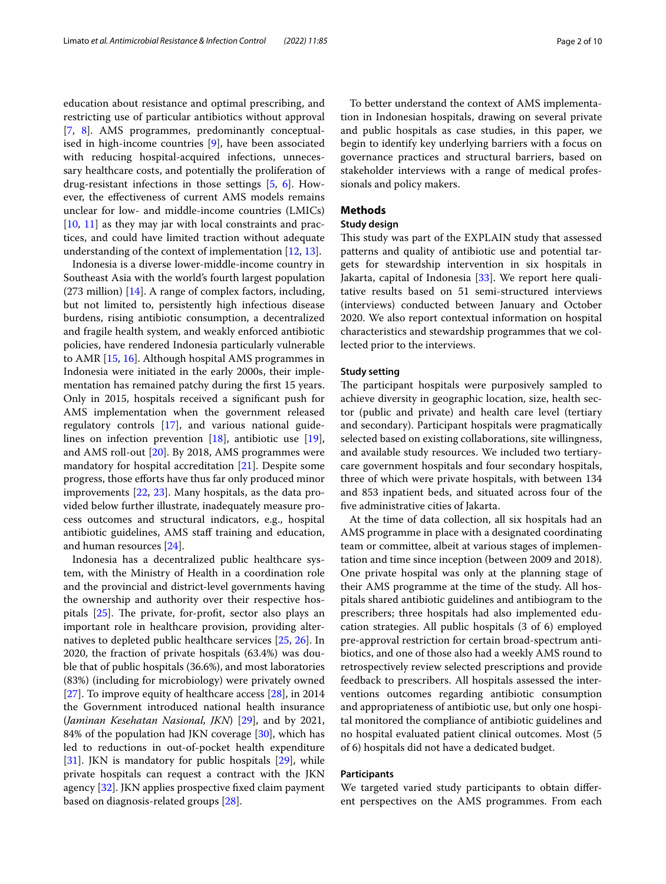education about resistance and optimal prescribing, and restricting use of particular antibiotics without approval [[7,](#page-7-6) [8\]](#page-7-7). AMS programmes, predominantly conceptualised in high-income countries [[9\]](#page-7-8), have been associated with reducing hospital-acquired infections, unnecessary healthcare costs, and potentially the proliferation of drug-resistant infections in those settings [\[5](#page-7-4), [6\]](#page-7-5). However, the efectiveness of current AMS models remains unclear for low- and middle-income countries (LMICs) [[10,](#page-7-9) [11](#page-8-0)] as they may jar with local constraints and practices, and could have limited traction without adequate understanding of the context of implementation [[12,](#page-8-1) [13](#page-8-2)].

Indonesia is a diverse lower-middle-income country in Southeast Asia with the world's fourth largest population (273 million) [[14](#page-8-3)]. A range of complex factors, including, but not limited to, persistently high infectious disease burdens, rising antibiotic consumption, a decentralized and fragile health system, and weakly enforced antibiotic policies, have rendered Indonesia particularly vulnerable to AMR [[15](#page-8-4), [16\]](#page-8-5). Although hospital AMS programmes in Indonesia were initiated in the early 2000s, their implementation has remained patchy during the frst 15 years. Only in 2015, hospitals received a signifcant push for AMS implementation when the government released regulatory controls [\[17](#page-8-6)], and various national guidelines on infection prevention [[18\]](#page-8-7), antibiotic use [\[19](#page-8-8)], and AMS roll-out [\[20\]](#page-8-9). By 2018, AMS programmes were mandatory for hospital accreditation [[21\]](#page-8-10). Despite some progress, those eforts have thus far only produced minor improvements [\[22,](#page-8-11) [23](#page-8-12)]. Many hospitals, as the data provided below further illustrate, inadequately measure process outcomes and structural indicators, e.g., hospital antibiotic guidelines, AMS staf training and education, and human resources [[24\]](#page-8-13).

Indonesia has a decentralized public healthcare system, with the Ministry of Health in a coordination role and the provincial and district-level governments having the ownership and authority over their respective hospitals  $[25]$  $[25]$ . The private, for-profit, sector also plays an important role in healthcare provision, providing alternatives to depleted public healthcare services [[25,](#page-8-14) [26\]](#page-8-15). In 2020, the fraction of private hospitals (63.4%) was double that of public hospitals (36.6%), and most laboratories (83%) (including for microbiology) were privately owned [[27\]](#page-8-16). To improve equity of healthcare access [\[28](#page-8-17)], in 2014 the Government introduced national health insurance (*Jaminan Kesehatan Nasional, JKN*) [[29\]](#page-8-18), and by 2021, 84% of the population had JKN coverage [[30\]](#page-8-19), which has led to reductions in out-of-pocket health expenditure [[31\]](#page-8-20). JKN is mandatory for public hospitals [\[29](#page-8-18)], while private hospitals can request a contract with the JKN agency [\[32](#page-8-21)]. JKN applies prospective fxed claim payment based on diagnosis-related groups [\[28](#page-8-17)].

To better understand the context of AMS implementation in Indonesian hospitals, drawing on several private and public hospitals as case studies, in this paper, we begin to identify key underlying barriers with a focus on governance practices and structural barriers, based on stakeholder interviews with a range of medical professionals and policy makers.

## **Methods**

## **Study design**

This study was part of the EXPLAIN study that assessed patterns and quality of antibiotic use and potential targets for stewardship intervention in six hospitals in Jakarta, capital of Indonesia [\[33\]](#page-8-22). We report here qualitative results based on 51 semi-structured interviews (interviews) conducted between January and October 2020. We also report contextual information on hospital characteristics and stewardship programmes that we collected prior to the interviews.

#### **Study setting**

The participant hospitals were purposively sampled to achieve diversity in geographic location, size, health sector (public and private) and health care level (tertiary and secondary). Participant hospitals were pragmatically selected based on existing collaborations, site willingness, and available study resources. We included two tertiarycare government hospitals and four secondary hospitals, three of which were private hospitals, with between 134 and 853 inpatient beds, and situated across four of the fve administrative cities of Jakarta.

At the time of data collection, all six hospitals had an AMS programme in place with a designated coordinating team or committee, albeit at various stages of implementation and time since inception (between 2009 and 2018). One private hospital was only at the planning stage of their AMS programme at the time of the study. All hospitals shared antibiotic guidelines and antibiogram to the prescribers; three hospitals had also implemented education strategies. All public hospitals (3 of 6) employed pre-approval restriction for certain broad-spectrum antibiotics, and one of those also had a weekly AMS round to retrospectively review selected prescriptions and provide feedback to prescribers. All hospitals assessed the interventions outcomes regarding antibiotic consumption and appropriateness of antibiotic use, but only one hospital monitored the compliance of antibiotic guidelines and no hospital evaluated patient clinical outcomes. Most (5 of 6) hospitals did not have a dedicated budget.

## **Participants**

We targeted varied study participants to obtain diferent perspectives on the AMS programmes. From each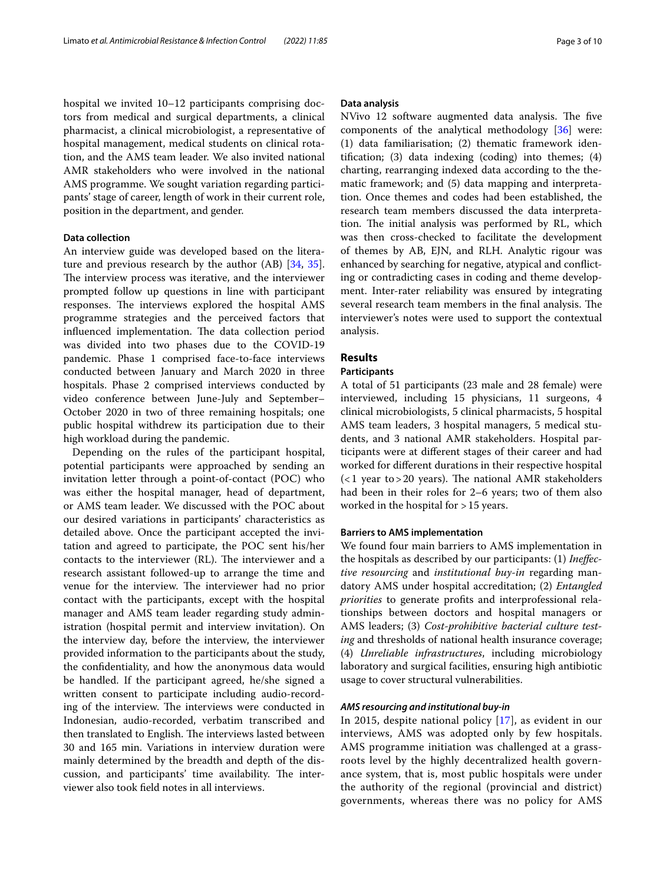hospital we invited 10–12 participants comprising doctors from medical and surgical departments, a clinical pharmacist, a clinical microbiologist, a representative of hospital management, medical students on clinical rotation, and the AMS team leader. We also invited national AMR stakeholders who were involved in the national AMS programme. We sought variation regarding participants' stage of career, length of work in their current role, position in the department, and gender.

## **Data collection**

An interview guide was developed based on the literature and previous research by the author (AB) [[34](#page-8-23), [35](#page-8-24)]. The interview process was iterative, and the interviewer prompted follow up questions in line with participant responses. The interviews explored the hospital AMS programme strategies and the perceived factors that influenced implementation. The data collection period was divided into two phases due to the COVID-19 pandemic. Phase 1 comprised face-to-face interviews conducted between January and March 2020 in three hospitals. Phase 2 comprised interviews conducted by video conference between June-July and September– October 2020 in two of three remaining hospitals; one public hospital withdrew its participation due to their high workload during the pandemic.

Depending on the rules of the participant hospital, potential participants were approached by sending an invitation letter through a point-of-contact (POC) who was either the hospital manager, head of department, or AMS team leader. We discussed with the POC about our desired variations in participants' characteristics as detailed above. Once the participant accepted the invitation and agreed to participate, the POC sent his/her contacts to the interviewer (RL). The interviewer and a research assistant followed-up to arrange the time and venue for the interview. The interviewer had no prior contact with the participants, except with the hospital manager and AMS team leader regarding study administration (hospital permit and interview invitation). On the interview day, before the interview, the interviewer provided information to the participants about the study, the confdentiality, and how the anonymous data would be handled. If the participant agreed, he/she signed a written consent to participate including audio-recording of the interview. The interviews were conducted in Indonesian, audio-recorded, verbatim transcribed and then translated to English. The interviews lasted between 30 and 165 min. Variations in interview duration were mainly determined by the breadth and depth of the discussion, and participants' time availability. The interviewer also took feld notes in all interviews.

#### **Data analysis**

NVivo 12 software augmented data analysis. The five components of the analytical methodology [[36](#page-8-25)] were: (1) data familiarisation; (2) thematic framework identifcation; (3) data indexing (coding) into themes; (4) charting, rearranging indexed data according to the thematic framework; and (5) data mapping and interpretation. Once themes and codes had been established, the research team members discussed the data interpretation. The initial analysis was performed by RL, which was then cross-checked to facilitate the development of themes by AB, EJN, and RLH. Analytic rigour was enhanced by searching for negative, atypical and conficting or contradicting cases in coding and theme development. Inter-rater reliability was ensured by integrating several research team members in the final analysis. The interviewer's notes were used to support the contextual analysis.

## **Results**

## **Participants**

A total of 51 participants (23 male and 28 female) were interviewed, including 15 physicians, 11 surgeons, 4 clinical microbiologists, 5 clinical pharmacists, 5 hospital AMS team leaders, 3 hospital managers, 5 medical students, and 3 national AMR stakeholders. Hospital participants were at diferent stages of their career and had worked for diferent durations in their respective hospital  $(1$  year to > 20 years). The national AMR stakeholders had been in their roles for 2–6 years; two of them also worked in the hospital for >15 years.

#### **Barriers to AMS implementation**

We found four main barriers to AMS implementation in the hospitals as described by our participants: (1) *Inefective resourcing* and *institutional buy-in* regarding mandatory AMS under hospital accreditation; (2) *Entangled priorities* to generate profts and interprofessional relationships between doctors and hospital managers or AMS leaders; (3) *Cost-prohibitive bacterial culture testing* and thresholds of national health insurance coverage; (4) *Unreliable infrastructures*, including microbiology laboratory and surgical facilities, ensuring high antibiotic usage to cover structural vulnerabilities.

## *AMS resourcing and institutional buy‑in*

In 2015, despite national policy [[17\]](#page-8-6), as evident in our interviews, AMS was adopted only by few hospitals. AMS programme initiation was challenged at a grassroots level by the highly decentralized health governance system, that is, most public hospitals were under the authority of the regional (provincial and district) governments, whereas there was no policy for AMS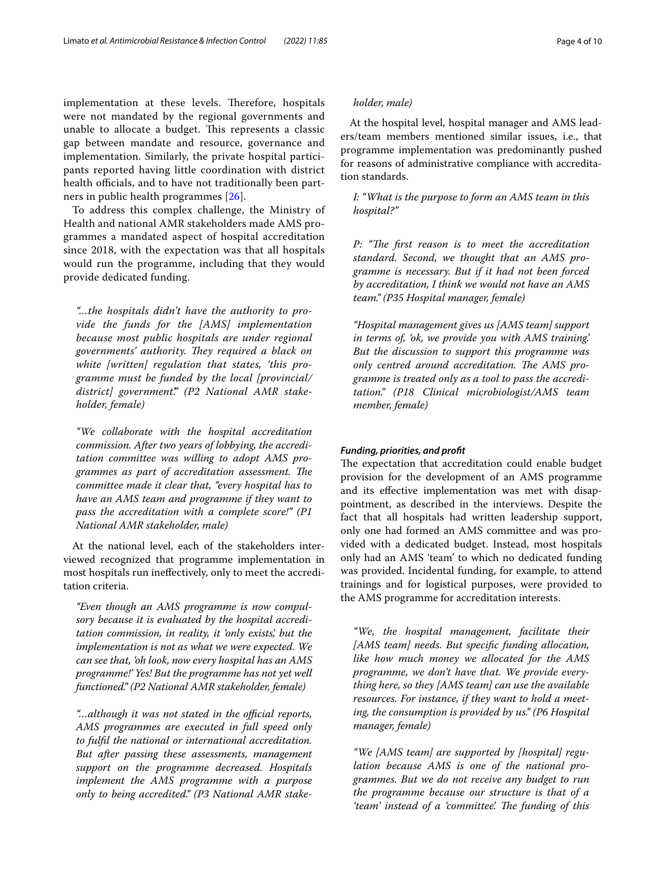implementation at these levels. Therefore, hospitals were not mandated by the regional governments and unable to allocate a budget. This represents a classic gap between mandate and resource, governance and implementation. Similarly, the private hospital participants reported having little coordination with district health officials, and to have not traditionally been partners in public health programmes [[26\]](#page-8-15).

To address this complex challenge, the Ministry of Health and national AMR stakeholders made AMS programmes a mandated aspect of hospital accreditation since 2018, with the expectation was that all hospitals would run the programme, including that they would provide dedicated funding.

*"…the hospitals didn't have the authority to provide the funds for the [AMS] implementation because most public hospitals are under regional*  governments' authority. They required a black on *white [written] regulation that states, 'this programme must be funded by the local [provincial/ district] government'." (P2 National AMR stakeholder, female)*

*"We collaborate with the hospital accreditation commission. After two years of lobbying, the accreditation committee was willing to adopt AMS pro*grammes as part of accreditation assessment. The *committee made it clear that, "every hospital has to have an AMS team and programme if they want to pass the accreditation with a complete score!" (P1 National AMR stakeholder, male)*

At the national level, each of the stakeholders interviewed recognized that programme implementation in most hospitals run inefectively, only to meet the accreditation criteria.

*"Even though an AMS programme is now compulsory because it is evaluated by the hospital accreditation commission, in reality, it 'only exists', but the implementation is not as what we were expected. We can see that, 'oh look, now every hospital has an AMS programme!' Yes! But the programme has not yet well functioned." (P2 National AMR stakeholder, female)*

"...although it was not stated in the official reports, *AMS programmes are executed in full speed only to fulfl the national or international accreditation. But after passing these assessments, management support on the programme decreased. Hospitals implement the AMS programme with a purpose only to being accredited." (P3 National AMR stake-*

## *holder, male)*

At the hospital level, hospital manager and AMS leaders/team members mentioned similar issues, i.e., that programme implementation was predominantly pushed for reasons of administrative compliance with accreditation standards.

## *I: "What is the purpose to form an AMS team in this hospital?"*

*P: "The first reason is to meet the accreditation standard. Second, we thought that an AMS programme is necessary. But if it had not been forced by accreditation, I think we would not have an AMS team." (P35 Hospital manager, female)*

*"Hospital management gives us [AMS team] support in terms of, 'ok, we provide you with AMS training.' But the discussion to support this programme was*  only centred around accreditation. The AMS pro*gramme is treated only as a tool to pass the accreditation." (P18 Clinical microbiologist/AMS team member, female)*

## *Funding, priorities, and proft*

The expectation that accreditation could enable budget provision for the development of an AMS programme and its efective implementation was met with disappointment, as described in the interviews. Despite the fact that all hospitals had written leadership support, only one had formed an AMS committee and was provided with a dedicated budget. Instead, most hospitals only had an AMS 'team' to which no dedicated funding was provided. Incidental funding, for example, to attend trainings and for logistical purposes, were provided to the AMS programme for accreditation interests.

*"We, the hospital management, facilitate their [AMS team] needs. But specifc funding allocation, like how much money we allocated for the AMS programme, we don't have that. We provide everything here, so they [AMS team] can use the available resources. For instance, if they want to hold a meeting, the consumption is provided by us." (P6 Hospital manager, female)*

*"We [AMS team] are supported by [hospital] regulation because AMS is one of the national programmes. But we do not receive any budget to run the programme because our structure is that of a*  'team' instead of a 'committee'. The funding of this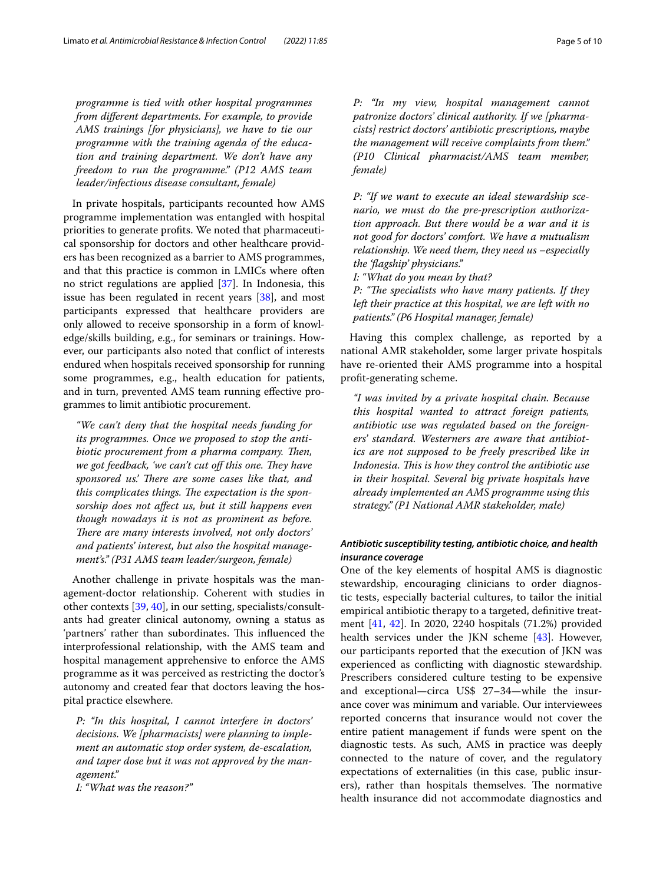*programme is tied with other hospital programmes from diferent departments. For example, to provide AMS trainings [for physicians], we have to tie our programme with the training agenda of the education and training department. We don't have any freedom to run the programme." (P12 AMS team leader/infectious disease consultant, female)*

In private hospitals, participants recounted how AMS programme implementation was entangled with hospital priorities to generate profts. We noted that pharmaceutical sponsorship for doctors and other healthcare providers has been recognized as a barrier to AMS programmes, and that this practice is common in LMICs where often no strict regulations are applied [\[37\]](#page-8-26). In Indonesia, this issue has been regulated in recent years [\[38](#page-8-27)], and most participants expressed that healthcare providers are only allowed to receive sponsorship in a form of knowledge/skills building, e.g., for seminars or trainings. However, our participants also noted that confict of interests endured when hospitals received sponsorship for running some programmes, e.g., health education for patients, and in turn, prevented AMS team running efective programmes to limit antibiotic procurement.

*"We can't deny that the hospital needs funding for its programmes. Once we proposed to stop the antibiotic procurement from a pharma company. Then, we got feedback, 'we can't cut off this one. They have* sponsored us.' There are some cases like that, and this complicates things. The expectation is the spon*sorship does not afect us, but it still happens even though nowadays it is not as prominent as before. There are many interests involved, not only doctors' and patients' interest, but also the hospital management's." (P31 AMS team leader/surgeon, female)*

Another challenge in private hospitals was the management-doctor relationship. Coherent with studies in other contexts [[39,](#page-8-28) [40](#page-8-29)], in our setting, specialists/consultants had greater clinical autonomy, owning a status as 'partners' rather than subordinates. This influenced the interprofessional relationship, with the AMS team and hospital management apprehensive to enforce the AMS programme as it was perceived as restricting the doctor's autonomy and created fear that doctors leaving the hospital practice elsewhere.

*P: "In this hospital, I cannot interfere in doctors' decisions. We [pharmacists] were planning to implement an automatic stop order system, de-escalation, and taper dose but it was not approved by the management."*

*I: "What was the reason?"*

*P: "In my view, hospital management cannot patronize doctors' clinical authority. If we [pharmacists] restrict doctors' antibiotic prescriptions, maybe the management will receive complaints from them." (P10 Clinical pharmacist/AMS team member, female)*

*P: "If we want to execute an ideal stewardship scenario, we must do the pre-prescription authorization approach. But there would be a war and it is not good for doctors' comfort. We have a mutualism relationship. We need them, they need us –especially the 'fagship' physicians."*

*I: "What do you mean by that?*

*P: "The specialists who have many patients. If they left their practice at this hospital, we are left with no patients." (P6 Hospital manager, female)*

Having this complex challenge, as reported by a national AMR stakeholder, some larger private hospitals have re-oriented their AMS programme into a hospital proft-generating scheme.

*"I was invited by a private hospital chain. Because this hospital wanted to attract foreign patients, antibiotic use was regulated based on the foreigners' standard. Westerners are aware that antibiotics are not supposed to be freely prescribed like in*  Indonesia. This is how they control the antibiotic use *in their hospital. Several big private hospitals have already implemented an AMS programme using this strategy." (P1 National AMR stakeholder, male)*

## *Antibiotic susceptibility testing, antibiotic choice, and health insurance coverage*

One of the key elements of hospital AMS is diagnostic stewardship, encouraging clinicians to order diagnostic tests, especially bacterial cultures, to tailor the initial empirical antibiotic therapy to a targeted, defnitive treatment [[41,](#page-8-30) [42](#page-8-31)]. In 2020, 2240 hospitals (71.2%) provided health services under the JKN scheme [\[43\]](#page-8-32). However, our participants reported that the execution of JKN was experienced as conficting with diagnostic stewardship. Prescribers considered culture testing to be expensive and exceptional—circa US\$ 27–34—while the insurance cover was minimum and variable. Our interviewees reported concerns that insurance would not cover the entire patient management if funds were spent on the diagnostic tests. As such, AMS in practice was deeply connected to the nature of cover, and the regulatory expectations of externalities (in this case, public insurers), rather than hospitals themselves. The normative health insurance did not accommodate diagnostics and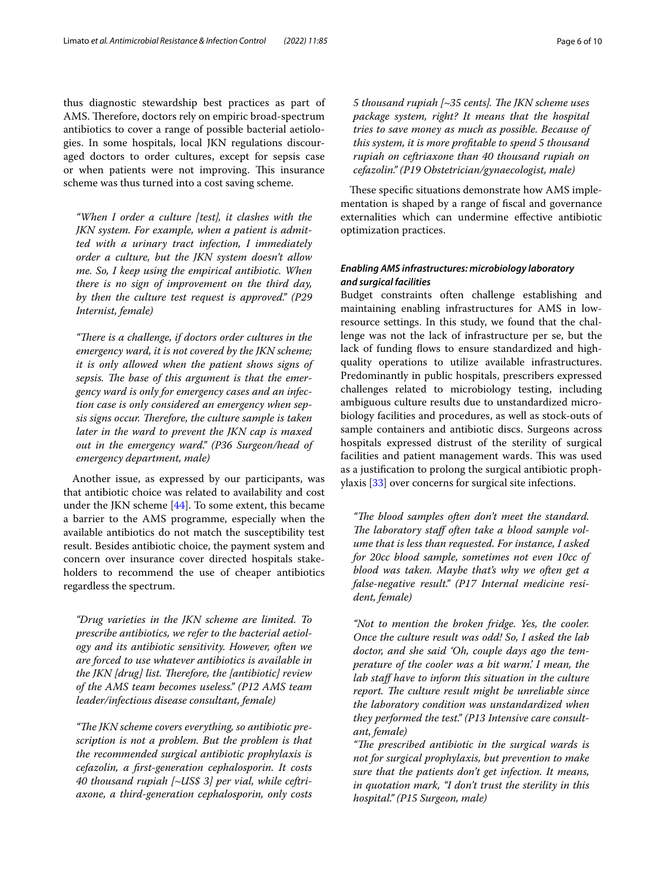thus diagnostic stewardship best practices as part of AMS. Therefore, doctors rely on empiric broad-spectrum antibiotics to cover a range of possible bacterial aetiologies. In some hospitals, local JKN regulations discouraged doctors to order cultures, except for sepsis case or when patients were not improving. This insurance scheme was thus turned into a cost saving scheme.

*"When I order a culture [test], it clashes with the JKN system. For example, when a patient is admitted with a urinary tract infection, I immediately order a culture, but the JKN system doesn't allow me. So, I keep using the empirical antibiotic. When there is no sign of improvement on the third day, by then the culture test request is approved." (P29 Internist, female)*

"There is a challenge, if doctors order cultures in the *emergency ward, it is not covered by the JKN scheme; it is only allowed when the patient shows signs of*  sepsis. The base of this argument is that the emer*gency ward is only for emergency cases and an infection case is only considered an emergency when sep*sis signs occur. Therefore, the culture sample is taken *later in the ward to prevent the JKN cap is maxed out in the emergency ward." (P36 Surgeon/head of emergency department, male)*

Another issue, as expressed by our participants, was that antibiotic choice was related to availability and cost under the JKN scheme [[44](#page-8-33)]. To some extent, this became a barrier to the AMS programme, especially when the available antibiotics do not match the susceptibility test result. Besides antibiotic choice, the payment system and concern over insurance cover directed hospitals stakeholders to recommend the use of cheaper antibiotics regardless the spectrum.

*"Drug varieties in the JKN scheme are limited. To prescribe antibiotics, we refer to the bacterial aetiology and its antibiotic sensitivity. However, often we are forced to use whatever antibiotics is available in the JKN [drug] list. Therefore, the [antibiotic] review of the AMS team becomes useless." (P12 AMS team leader/infectious disease consultant, female)*

*"Te JKN scheme covers everything, so antibiotic prescription is not a problem. But the problem is that the recommended surgical antibiotic prophylaxis is cefazolin, a frst-generation cephalosporin. It costs 40 thousand rupiah [~US\$ 3] per vial, while ceftriaxone, a third-generation cephalosporin, only costs* 

5 thousand rupiah [~35 cents]. The JKN scheme uses *package system, right? It means that the hospital tries to save money as much as possible. Because of this system, it is more proftable to spend 5 thousand rupiah on ceftriaxone than 40 thousand rupiah on cefazolin." (P19 Obstetrician/gynaecologist, male)*

These specific situations demonstrate how AMS implementation is shaped by a range of fscal and governance externalities which can undermine efective antibiotic optimization practices.

## *Enabling AMS infrastructures: microbiology laboratory and surgical facilities*

Budget constraints often challenge establishing and maintaining enabling infrastructures for AMS in lowresource settings. In this study, we found that the challenge was not the lack of infrastructure per se, but the lack of funding flows to ensure standardized and highquality operations to utilize available infrastructures. Predominantly in public hospitals, prescribers expressed challenges related to microbiology testing, including ambiguous culture results due to unstandardized microbiology facilities and procedures, as well as stock-outs of sample containers and antibiotic discs. Surgeons across hospitals expressed distrust of the sterility of surgical facilities and patient management wards. This was used as a justifcation to prolong the surgical antibiotic prophylaxis [\[33](#page-8-22)] over concerns for surgical site infections.

"The blood samples often don't meet the standard. The laboratory staff often take a blood sample vol*ume that is less than requested. For instance, I asked for 20cc blood sample, sometimes not even 10cc of blood was taken. Maybe that's why we often get a false-negative result." (P17 Internal medicine resident, female)*

*"Not to mention the broken fridge. Yes, the cooler. Once the culture result was odd! So, I asked the lab doctor, and she said 'Oh, couple days ago the temperature of the cooler was a bit warm.' I mean, the lab staf have to inform this situation in the culture*  report. The culture result might be unreliable since *the laboratory condition was unstandardized when they performed the test." (P13 Intensive care consultant, female)*

*"Te prescribed antibiotic in the surgical wards is not for surgical prophylaxis, but prevention to make sure that the patients don't get infection. It means, in quotation mark, "I don't trust the sterility in this hospital." (P15 Surgeon, male)*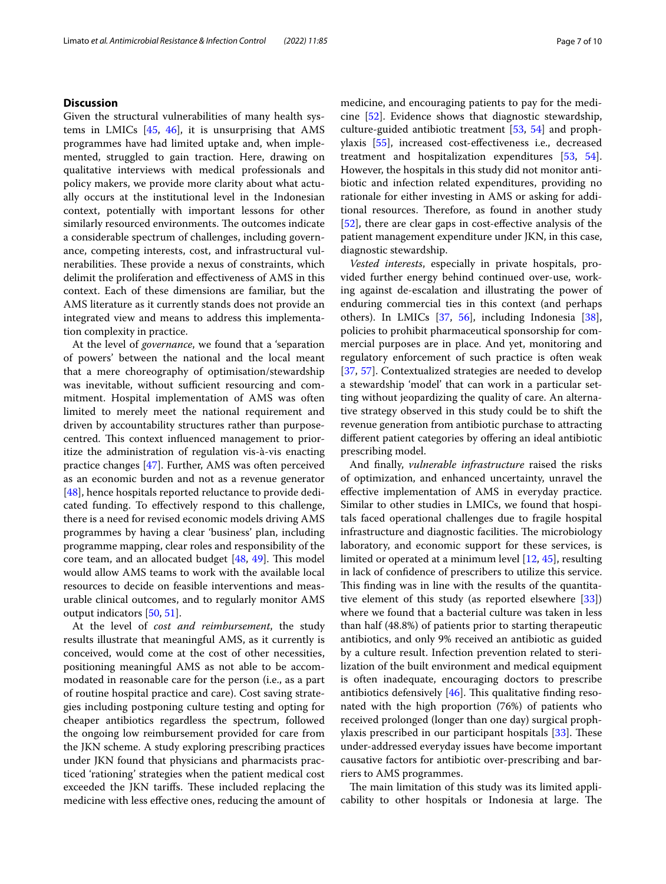## **Discussion**

Given the structural vulnerabilities of many health systems in LMICs [\[45](#page-8-34), [46](#page-9-0)], it is unsurprising that AMS programmes have had limited uptake and, when implemented, struggled to gain traction. Here, drawing on qualitative interviews with medical professionals and policy makers, we provide more clarity about what actually occurs at the institutional level in the Indonesian context, potentially with important lessons for other similarly resourced environments. The outcomes indicate a considerable spectrum of challenges, including governance, competing interests, cost, and infrastructural vulnerabilities. These provide a nexus of constraints, which delimit the proliferation and efectiveness of AMS in this context. Each of these dimensions are familiar, but the AMS literature as it currently stands does not provide an integrated view and means to address this implementation complexity in practice.

At the level of *governance*, we found that a 'separation of powers' between the national and the local meant that a mere choreography of optimisation/stewardship was inevitable, without sufficient resourcing and commitment. Hospital implementation of AMS was often limited to merely meet the national requirement and driven by accountability structures rather than purposecentred. This context influenced management to prioritize the administration of regulation vis-à-vis enacting practice changes [\[47\]](#page-9-1). Further, AMS was often perceived as an economic burden and not as a revenue generator [[48\]](#page-9-2), hence hospitals reported reluctance to provide dedicated funding. To efectively respond to this challenge, there is a need for revised economic models driving AMS programmes by having a clear 'business' plan, including programme mapping, clear roles and responsibility of the core team, and an allocated budget  $[48, 49]$  $[48, 49]$  $[48, 49]$  $[48, 49]$ . This model would allow AMS teams to work with the available local resources to decide on feasible interventions and measurable clinical outcomes, and to regularly monitor AMS output indicators [[50,](#page-9-4) [51\]](#page-9-5).

At the level of *cost and reimbursement*, the study results illustrate that meaningful AMS, as it currently is conceived, would come at the cost of other necessities, positioning meaningful AMS as not able to be accommodated in reasonable care for the person (i.e., as a part of routine hospital practice and care). Cost saving strategies including postponing culture testing and opting for cheaper antibiotics regardless the spectrum, followed the ongoing low reimbursement provided for care from the JKN scheme. A study exploring prescribing practices under JKN found that physicians and pharmacists practiced 'rationing' strategies when the patient medical cost exceeded the JKN tariffs. These included replacing the medicine with less efective ones, reducing the amount of medicine, and encouraging patients to pay for the medicine [\[52](#page-9-6)]. Evidence shows that diagnostic stewardship, culture-guided antibiotic treatment [[53,](#page-9-7) [54](#page-9-8)] and prophylaxis [\[55](#page-9-9)], increased cost-efectiveness i.e., decreased treatment and hospitalization expenditures [\[53](#page-9-7), [54](#page-9-8)]. However, the hospitals in this study did not monitor antibiotic and infection related expenditures, providing no rationale for either investing in AMS or asking for additional resources. Therefore, as found in another study [[52\]](#page-9-6), there are clear gaps in cost-effective analysis of the patient management expenditure under JKN, in this case, diagnostic stewardship.

*Vested interests*, especially in private hospitals, provided further energy behind continued over-use, working against de-escalation and illustrating the power of enduring commercial ties in this context (and perhaps others). In LMICs [[37,](#page-8-26) [56](#page-9-10)], including Indonesia [\[38](#page-8-27)], policies to prohibit pharmaceutical sponsorship for commercial purposes are in place. And yet, monitoring and regulatory enforcement of such practice is often weak [[37,](#page-8-26) [57\]](#page-9-11). Contextualized strategies are needed to develop a stewardship 'model' that can work in a particular setting without jeopardizing the quality of care. An alternative strategy observed in this study could be to shift the revenue generation from antibiotic purchase to attracting different patient categories by offering an ideal antibiotic prescribing model.

And fnally, *vulnerable infrastructure* raised the risks of optimization, and enhanced uncertainty, unravel the efective implementation of AMS in everyday practice. Similar to other studies in LMICs, we found that hospitals faced operational challenges due to fragile hospital infrastructure and diagnostic facilities. The microbiology laboratory, and economic support for these services, is limited or operated at a minimum level [\[12](#page-8-1), [45\]](#page-8-34), resulting in lack of confdence of prescribers to utilize this service. This finding was in line with the results of the quantitative element of this study (as reported elsewhere [\[33](#page-8-22)]) where we found that a bacterial culture was taken in less than half (48.8%) of patients prior to starting therapeutic antibiotics, and only 9% received an antibiotic as guided by a culture result. Infection prevention related to sterilization of the built environment and medical equipment is often inadequate, encouraging doctors to prescribe antibiotics defensively  $[46]$  $[46]$  $[46]$ . This qualitative finding resonated with the high proportion (76%) of patients who received prolonged (longer than one day) surgical prophylaxis prescribed in our participant hospitals  $[33]$  $[33]$ . These under-addressed everyday issues have become important causative factors for antibiotic over-prescribing and barriers to AMS programmes.

The main limitation of this study was its limited applicability to other hospitals or Indonesia at large. The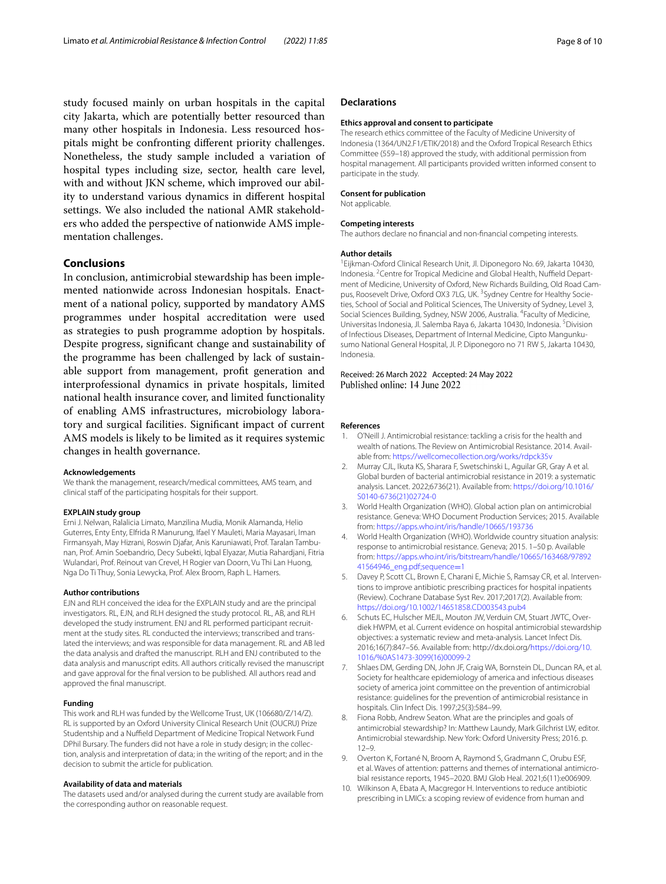study focused mainly on urban hospitals in the capital city Jakarta, which are potentially better resourced than many other hospitals in Indonesia. Less resourced hospitals might be confronting diferent priority challenges. Nonetheless, the study sample included a variation of hospital types including size, sector, health care level, with and without JKN scheme, which improved our ability to understand various dynamics in diferent hospital settings. We also included the national AMR stakeholders who added the perspective of nationwide AMS implementation challenges.

## **Conclusions**

In conclusion, antimicrobial stewardship has been implemented nationwide across Indonesian hospitals. Enactment of a national policy, supported by mandatory AMS programmes under hospital accreditation were used as strategies to push programme adoption by hospitals. Despite progress, signifcant change and sustainability of the programme has been challenged by lack of sustainable support from management, proft generation and interprofessional dynamics in private hospitals, limited national health insurance cover, and limited functionality of enabling AMS infrastructures, microbiology laboratory and surgical facilities. Signifcant impact of current AMS models is likely to be limited as it requires systemic changes in health governance.

#### **Acknowledgements**

We thank the management, research/medical committees, AMS team, and clinical staff of the participating hospitals for their support.

#### **EXPLAIN study group**

Erni J. Nelwan, Ralalicia Limato, Manzilina Mudia, Monik Alamanda, Helio Guterres, Enty Enty, Elfrida R Manurung, Ifael Y Mauleti, Maria Mayasari, Iman Firmansyah, May Hizrani, Roswin Djafar, Anis Karuniawati, Prof. Taralan Tambunan, Prof. Amin Soebandrio, Decy Subekti, Iqbal Elyazar, Mutia Rahardjani, Fitria Wulandari, Prof. Reinout van Crevel, H Rogier van Doorn, Vu Thi Lan Huong, Nga Do Ti Thuy, Sonia Lewycka, Prof. Alex Broom, Raph L. Hamers.

#### **Author contributions**

EJN and RLH conceived the idea for the EXPLAIN study and are the principal investigators. RL, EJN, and RLH designed the study protocol. RL, AB, and RLH developed the study instrument. ENJ and RL performed participant recruitment at the study sites. RL conducted the interviews; transcribed and translated the interviews; and was responsible for data management. RL and AB led the data analysis and drafted the manuscript. RLH and ENJ contributed to the data analysis and manuscript edits. All authors critically revised the manuscript and gave approval for the fnal version to be published. All authors read and approved the fnal manuscript.

#### **Funding**

This work and RLH was funded by the Wellcome Trust, UK (106680/Z/14/Z). RL is supported by an Oxford University Clinical Research Unit (OUCRU) Prize Studentship and a Nuffield Department of Medicine Tropical Network Fund DPhil Bursary. The funders did not have a role in study design; in the collection, analysis and interpretation of data; in the writing of the report; and in the decision to submit the article for publication.

#### **Availability of data and materials**

The datasets used and/or analysed during the current study are available from the corresponding author on reasonable request.

#### **Declarations**

#### **Ethics approval and consent to participate**

The research ethics committee of the Faculty of Medicine University of Indonesia (1364/UN2.F1/ETIK/2018) and the Oxford Tropical Research Ethics Committee (559–18) approved the study, with additional permission from hospital management. All participants provided written informed consent to participate in the study.

#### **Consent for publication**

Not applicable.

#### **Competing interests**

The authors declare no fnancial and non-fnancial competing interests.

#### **Author details**

<sup>1</sup> Eijkman-Oxford Clinical Research Unit, Jl. Diponegoro No. 69, Jakarta 10430, Indonesia. <sup>2</sup> Centre for Tropical Medicine and Global Health, Nuffield Department of Medicine, University of Oxford, New Richards Building, Old Road Campus, Roosevelt Drive, Oxford OX3 7LG, UK. <sup>3</sup>Sydney Centre for Healthy Societies, School of Social and Political Sciences, The University of Sydney, Level 3, Social Sciences Building, Sydney, NSW 2006, Australia. <sup>4</sup>Faculty of Medicine, Universitas Indonesia, Jl. Salemba Raya 6, Jakarta 10430, Indonesia. <sup>5</sup> Division of Infectious Diseases, Department of Internal Medicine, Cipto Mangunkusumo National General Hospital, Jl. P. Diponegoro no 71 RW 5, Jakarta 10430, Indonesia.

#### Received: 26 March 2022 Accepted: 24 May 2022 Published online: 14 June 2022

#### **References**

- <span id="page-7-0"></span>1. O'Neill J. Antimicrobial resistance: tackling a crisis for the health and wealth of nations. The Review on Antimicrobial Resistance. 2014. Available from:<https://wellcomecollection.org/works/rdpck35v>
- <span id="page-7-1"></span>2. Murray CJL, Ikuta KS, Sharara F, Swetschinski L, Aguilar GR, Gray A et al. Global burden of bacterial antimicrobial resistance in 2019: a systematic analysis. Lancet. 2022;6736(21). Available from: [https://doi.org/10.1016/](https://doi.org/10.1016/S0140-6736(21)02724-0) [S0140-6736\(21\)02724-0](https://doi.org/10.1016/S0140-6736(21)02724-0)
- <span id="page-7-2"></span>3. World Health Organization (WHO). Global action plan on antimicrobial resistance. Geneva: WHO Document Production Services; 2015. Available from: <https://apps.who.int/iris/handle/10665/193736>
- <span id="page-7-3"></span>4. World Health Organization (WHO). Worldwide country situation analysis: response to antimicrobial resistance. Geneva; 2015. 1–50 p. Available from: [https://apps.who.int/iris/bitstream/handle/10665/163468/97892](https://apps.who.int/iris/bitstream/handle/10665/163468/9789241564946_eng.pdf;sequence=1) [41564946\\_eng.pdf;sequence](https://apps.who.int/iris/bitstream/handle/10665/163468/9789241564946_eng.pdf;sequence=1)=1
- <span id="page-7-4"></span>5. Davey P, Scott CL, Brown E, Charani E, Michie S, Ramsay CR, et al. Interventions to improve antibiotic prescribing practices for hospital inpatients (Review). Cochrane Database Syst Rev. 2017;2017(2). Available from: <https://doi.org/10.1002/14651858.CD003543.pub4>
- <span id="page-7-5"></span>6. Schuts EC, Hulscher MEJL, Mouton JW, Verduin CM, Stuart JWTC, Overdiek HWPM, et al. Current evidence on hospital antimicrobial stewardship objectives: a systematic review and meta-analysis. Lancet Infect Dis. 2016;16(7):847–56. Available from: http://dx.doi.org[/https://doi.org/10.](https://doi.org/10.1016/%0AS1473-3099(16)00099-2) [1016/%0AS1473-3099\(16\)00099-2](https://doi.org/10.1016/%0AS1473-3099(16)00099-2)
- <span id="page-7-6"></span>7. Shlaes DM, Gerding DN, John JF, Craig WA, Bornstein DL, Duncan RA, et al. Society for healthcare epidemiology of america and infectious diseases society of america joint committee on the prevention of antimicrobial resistance: guidelines for the prevention of antimicrobial resistance in hospitals. Clin Infect Dis. 1997;25(3):584–99.
- <span id="page-7-7"></span>8. Fiona Robb, Andrew Seaton. What are the principles and goals of antimicrobial stewardship? In: Matthew Laundy, Mark Gilchrist LW, editor. Antimicrobial stewardship. New York: Oxford University Press; 2016. p. 12–9.
- <span id="page-7-8"></span>9. Overton K, Fortané N, Broom A, Raymond S, Gradmann C, Orubu ESF, et al. Waves of attention: patterns and themes of international antimicrobial resistance reports, 1945–2020. BMJ Glob Heal. 2021;6(11):e006909.
- <span id="page-7-9"></span>10. Wilkinson A, Ebata A, Macgregor H. Interventions to reduce antibiotic prescribing in LMICs: a scoping review of evidence from human and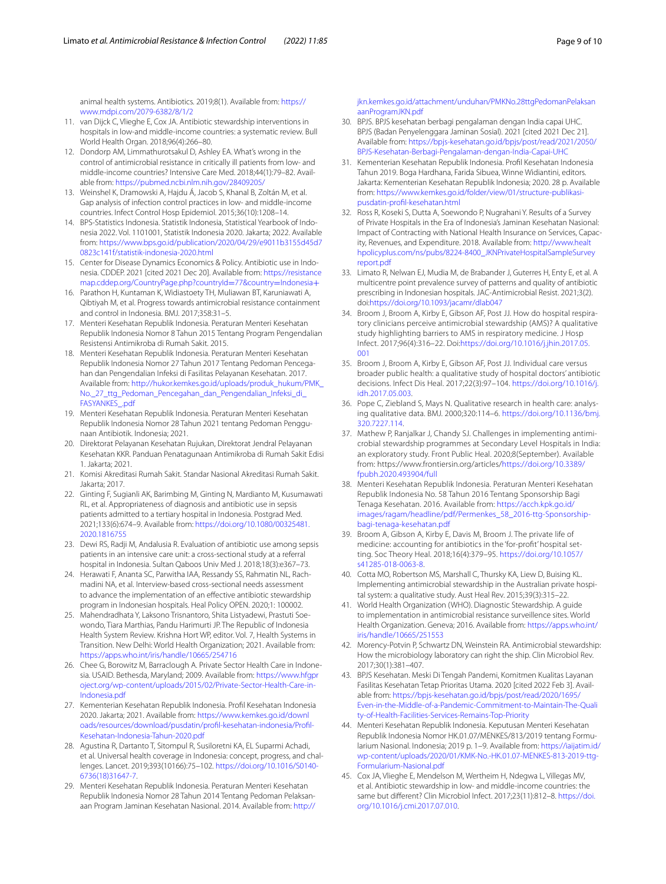animal health systems. Antibiotics. 2019;8(1). Available from: [https://](https://www.mdpi.com/2079-6382/8/1/2) [www.mdpi.com/2079-6382/8/1/2](https://www.mdpi.com/2079-6382/8/1/2)

- <span id="page-8-0"></span>11. van Dijck C, Vlieghe E, Cox JA. Antibiotic stewardship interventions in hospitals in low-and middle-income countries: a systematic review. Bull World Health Organ. 2018;96(4):266–80.
- <span id="page-8-1"></span>12. Dondorp AM, Limmathurotsakul D, Ashley EA. What's wrong in the control of antimicrobial resistance in critically ill patients from low- and middle-income countries? Intensive Care Med. 2018;44(1):79–82. Available from:<https://pubmed.ncbi.nlm.nih.gov/28409205/>
- <span id="page-8-2"></span>13. Weinshel K, Dramowski A, Hajdu Á, Jacob S, Khanal B, Zoltán M, et al. Gap analysis of infection control practices in low- and middle-income countries. Infect Control Hosp Epidemiol. 2015;36(10):1208–14.
- <span id="page-8-3"></span>14. BPS-Statistics Indonesia. Statistik Indonesia, Statistical Yearbook of Indonesia 2022. Vol. 1101001, Statistik Indonesia 2020. Jakarta; 2022. Available from: [https://www.bps.go.id/publication/2020/04/29/e9011b3155d45d7](https://www.bps.go.id/publication/2020/04/29/e9011b3155d45d70823c141f/statistik-indonesia-2020.html) [0823c141f/statistik-indonesia-2020.html](https://www.bps.go.id/publication/2020/04/29/e9011b3155d45d70823c141f/statistik-indonesia-2020.html)
- <span id="page-8-4"></span>15. Center for Disease Dynamics Economics & Policy. Antibiotic use in Indonesia. CDDEP. 2021 [cited 2021 Dec 20]. Available from: [https://resistance](https://resistancemap.cddep.org/CountryPage.php?countryId=77&country=Indonesia+) [map.cddep.org/CountryPage.php?countryId](https://resistancemap.cddep.org/CountryPage.php?countryId=77&country=Indonesia+)=77&country=Indonesia+
- <span id="page-8-5"></span>16. Parathon H, Kuntaman K, Widiastoety TH, Muliawan BT, Karuniawati A, Qibtiyah M, et al. Progress towards antimicrobial resistance containment and control in Indonesia. BMJ. 2017;358:31–5.
- <span id="page-8-6"></span>17. Menteri Kesehatan Republik Indonesia. Peraturan Menteri Kesehatan Republik Indonesia Nomor 8 Tahun 2015 Tentang Program Pengendalian Resistensi Antimikroba di Rumah Sakit. 2015.
- <span id="page-8-7"></span>18. Menteri Kesehatan Republik Indonesia. Peraturan Menteri Kesehatan Republik Indonesia Nomor 27 Tahun 2017 Tentang Pedoman Pencegahan dan Pengendalian Infeksi di Fasilitas Pelayanan Kesehatan. 2017. Available from: [http://hukor.kemkes.go.id/uploads/produk\\_hukum/PMK\\_](http://hukor.kemkes.go.id/uploads/produk_hukum/PMK_No._27_ttg_Pedoman_Pencegahan_dan_Pengendalian_Infeksi_di_FASYANKES_.pdf) [No.\\_27\\_ttg\\_Pedoman\\_Pencegahan\\_dan\\_Pengendalian\\_Infeksi\\_di\\_](http://hukor.kemkes.go.id/uploads/produk_hukum/PMK_No._27_ttg_Pedoman_Pencegahan_dan_Pengendalian_Infeksi_di_FASYANKES_.pdf) [FASYANKES\\_.pdf](http://hukor.kemkes.go.id/uploads/produk_hukum/PMK_No._27_ttg_Pedoman_Pencegahan_dan_Pengendalian_Infeksi_di_FASYANKES_.pdf)
- <span id="page-8-8"></span>19. Menteri Kesehatan Republik Indonesia. Peraturan Menteri Kesehatan Republik Indonesia Nomor 28 Tahun 2021 tentang Pedoman Penggunaan Antibiotik. Indonesia; 2021.
- <span id="page-8-9"></span>20. Direktorat Pelayanan Kesehatan Rujukan, Direktorat Jendral Pelayanan Kesehatan KKR. Panduan Penatagunaan Antimikroba di Rumah Sakit Edisi 1. Jakarta; 2021.
- <span id="page-8-10"></span>21. Komisi Akreditasi Rumah Sakit. Standar Nasional Akreditasi Rumah Sakit. Jakarta; 2017.
- <span id="page-8-11"></span>22. Ginting F, Sugianli AK, Barimbing M, Ginting N, Mardianto M, Kusumawati RL, et al. Appropriateness of diagnosis and antibiotic use in sepsis patients admitted to a tertiary hospital in Indonesia. Postgrad Med. 2021;133(6):674–9. Available from: [https://doi.org/10.1080/00325481.](https://doi.org/10.1080/00325481.2020.1816755) [2020.1816755](https://doi.org/10.1080/00325481.2020.1816755)
- <span id="page-8-12"></span>23. Dewi RS, Radji M, Andalusia R. Evaluation of antibiotic use among sepsis patients in an intensive care unit: a cross-sectional study at a referral hospital in Indonesia. Sultan Qaboos Univ Med J. 2018;18(3):e367–73.
- <span id="page-8-13"></span>24. Herawati F, Ananta SC, Parwitha IAA, Ressandy SS, Rahmatin NL, Rachmadini NA, et al. Interview-based cross-sectional needs assessment to advance the implementation of an efective antibiotic stewardship program in Indonesian hospitals. Heal Policy OPEN. 2020;1: 100002.
- <span id="page-8-14"></span>25. Mahendradhata Y, Laksono Trisnantoro, Shita Listyadewi, Prastuti Soewondo, Tiara Marthias, Pandu Harimurti JP. The Republic of Indonesia Health System Review. Krishna Hort WP, editor. Vol. 7, Health Systems in Transition. New Delhi: World Health Organization; 2021. Available from: <https://apps.who.int/iris/handle/10665/254716>
- <span id="page-8-15"></span>26. Chee G, Borowitz M, Barraclough A. Private Sector Health Care in Indonesia. USAID. Bethesda, Maryland; 2009. Available from: [https://www.hfgpr](https://www.hfgproject.org/wp-content/uploads/2015/02/Private-Sector-Health-Care-in-Indonesia.pdf) [oject.org/wp-content/uploads/2015/02/Private-Sector-Health-Care-in-](https://www.hfgproject.org/wp-content/uploads/2015/02/Private-Sector-Health-Care-in-Indonesia.pdf)[Indonesia.pdf](https://www.hfgproject.org/wp-content/uploads/2015/02/Private-Sector-Health-Care-in-Indonesia.pdf)
- <span id="page-8-16"></span>27. Kementerian Kesehatan Republik Indonesia. Profl Kesehatan Indonesia 2020. Jakarta; 2021. Available from: [https://www.kemkes.go.id/downl](https://www.kemkes.go.id/downloads/resources/download/pusdatin/profil-kesehatan-indonesia/Profil-Kesehatan-Indonesia-Tahun-2020.pdf) [oads/resources/download/pusdatin/profl-kesehatan-indonesia/Profl-](https://www.kemkes.go.id/downloads/resources/download/pusdatin/profil-kesehatan-indonesia/Profil-Kesehatan-Indonesia-Tahun-2020.pdf)[Kesehatan-Indonesia-Tahun-2020.pdf](https://www.kemkes.go.id/downloads/resources/download/pusdatin/profil-kesehatan-indonesia/Profil-Kesehatan-Indonesia-Tahun-2020.pdf)
- <span id="page-8-17"></span>28. Agustina R, Dartanto T, Sitompul R, Susiloretni KA, EL Suparmi Achadi, et al. Universal health coverage in Indonesia: concept, progress, and challenges. Lancet. 2019;393(10166):75–102. [https://doi.org/10.1016/S0140-](https://doi.org/10.1016/S0140-6736(18)31647-7) [6736\(18\)31647-7.](https://doi.org/10.1016/S0140-6736(18)31647-7)
- <span id="page-8-18"></span>29. Menteri Kesehatan Republik Indonesia. Peraturan Menteri Kesehatan Republik Indonesia Nomor 28 Tahun 2014 Tentang Pedoman Pelaksanaan Program Jaminan Kesehatan Nasional. 2014. Available from: [http://](http://jkn.kemkes.go.id/attachment/unduhan/PMKNo.28ttgPedomanPelaksanaanProgramJKN.pdf)

[jkn.kemkes.go.id/attachment/unduhan/PMKNo.28ttgPedomanPelaksan](http://jkn.kemkes.go.id/attachment/unduhan/PMKNo.28ttgPedomanPelaksanaanProgramJKN.pdf) [aanProgramJKN.pdf](http://jkn.kemkes.go.id/attachment/unduhan/PMKNo.28ttgPedomanPelaksanaanProgramJKN.pdf)

- <span id="page-8-19"></span>30. BPJS. BPJS kesehatan berbagi pengalaman dengan India capai UHC. BPJS (Badan Penyelenggara Jaminan Sosial). 2021 [cited 2021 Dec 21]. Available from: [https://bpjs-kesehatan.go.id/bpjs/post/read/2021/2050/](https://bpjs-kesehatan.go.id/bpjs/post/read/2021/2050/BPJS-Kesehatan-Berbagi-Pengalaman-dengan-India-Capai-UHC) [BPJS-Kesehatan-Berbagi-Pengalaman-dengan-India-Capai-UHC](https://bpjs-kesehatan.go.id/bpjs/post/read/2021/2050/BPJS-Kesehatan-Berbagi-Pengalaman-dengan-India-Capai-UHC)
- <span id="page-8-20"></span>31. Kementerian Kesehatan Republik Indonesia. Profl Kesehatan Indonesia Tahun 2019. Boga Hardhana, Farida Sibuea, Winne Widiantini, editors. Jakarta: Kementerian Kesehatan Republik Indonesia; 2020. 28 p. Available from: [https://www.kemkes.go.id/folder/view/01/structure-publikasi](https://www.kemkes.go.id/folder/view/01/structure-publikasi-pusdatin-profil-kesehatan.html)[pusdatin-profl-kesehatan.html](https://www.kemkes.go.id/folder/view/01/structure-publikasi-pusdatin-profil-kesehatan.html)
- <span id="page-8-21"></span>32. Ross R, Koseki S, Dutta A, Soewondo P, Nugrahani Y. Results of a Survey of Private Hospitals in the Era of Indonesia's Jaminan Kesehatan Nasional: Impact of Contracting with National Health Insurance on Services, Capacity, Revenues, and Expenditure. 2018. Available from: [http://www.healt](http://www.healthpolicyplus.com/ns/pubs/8224-8400_JKNPrivateHospitalSampleSurveyreport.pdf) [hpolicyplus.com/ns/pubs/8224-8400\\_JKNPrivateHospitalSampleSurvey](http://www.healthpolicyplus.com/ns/pubs/8224-8400_JKNPrivateHospitalSampleSurveyreport.pdf) [report.pdf](http://www.healthpolicyplus.com/ns/pubs/8224-8400_JKNPrivateHospitalSampleSurveyreport.pdf)
- <span id="page-8-22"></span>33. Limato R, Nelwan EJ, Mudia M, de Brabander J, Guterres H, Enty E, et al. A multicentre point prevalence survey of patterns and quality of antibiotic prescribing in Indonesian hospitals. JAC-Antimicrobial Resist. 2021;3(2). doi:<https://doi.org/10.1093/jacamr/dlab047>
- <span id="page-8-23"></span>34. Broom J, Broom A, Kirby E, Gibson AF, Post JJ. How do hospital respiratory clinicians perceive antimicrobial stewardship (AMS)? A qualitative study highlighting barriers to AMS in respiratory medicine. J Hosp Infect. 2017;96(4):316–22. Doi:[https://doi.org/10.1016/j.jhin.2017.05.](https://doi.org/10.1016/j.jhin.2017.05.001) [001](https://doi.org/10.1016/j.jhin.2017.05.001)
- <span id="page-8-24"></span>35. Broom J, Broom A, Kirby E, Gibson AF, Post JJ. Individual care versus broader public health: a qualitative study of hospital doctors' antibiotic decisions. Infect Dis Heal. 2017;22(3):97–104. [https://doi.org/10.1016/j.](https://doi.org/10.1016/j.idh.2017.05.003) [idh.2017.05.003.](https://doi.org/10.1016/j.idh.2017.05.003)
- <span id="page-8-25"></span>36. Pope C, Ziebland S, Mays N. Qualitative research in health care: analysing qualitative data. BMJ. 2000;320:114–6. [https://doi.org/10.1136/bmj.](https://doi.org/10.1136/bmj.320.7227.114) [320.7227.114](https://doi.org/10.1136/bmj.320.7227.114).
- <span id="page-8-26"></span>37. Mathew P, Ranjalkar J, Chandy SJ. Challenges in implementing antimicrobial stewardship programmes at Secondary Level Hospitals in India: an exploratory study. Front Public Heal. 2020;8(September). Available from: https://www.frontiersin.org/articles/[https://doi.org/10.3389/](https://doi.org/10.3389/fpubh.2020.493904/full) [fpubh.2020.493904/full](https://doi.org/10.3389/fpubh.2020.493904/full)
- <span id="page-8-27"></span>38. Menteri Kesehatan Republik Indonesia. Peraturan Menteri Kesehatan Republik Indonesia No. 58 Tahun 2016 Tentang Sponsorship Bagi Tenaga Kesehatan. 2016. Available from: [https://acch.kpk.go.id/](https://acch.kpk.go.id/images/ragam/headline/pdf/Permenkes_58_2016-ttg-Sponsorship-bagi-tenaga-kesehatan.pdf) [images/ragam/headline/pdf/Permenkes\\_58\\_2016-ttg-Sponsorship](https://acch.kpk.go.id/images/ragam/headline/pdf/Permenkes_58_2016-ttg-Sponsorship-bagi-tenaga-kesehatan.pdf)[bagi-tenaga-kesehatan.pdf](https://acch.kpk.go.id/images/ragam/headline/pdf/Permenkes_58_2016-ttg-Sponsorship-bagi-tenaga-kesehatan.pdf)
- <span id="page-8-28"></span>39. Broom A, Gibson A, Kirby E, Davis M, Broom J. The private life of medicine: accounting for antibiotics in the 'for-proft' hospital setting. Soc Theory Heal. 2018;16(4):379–95. [https://doi.org/10.1057/](https://doi.org/10.1057/s41285-018-0063-8) [s41285-018-0063-8.](https://doi.org/10.1057/s41285-018-0063-8)
- <span id="page-8-29"></span>40. Cotta MO, Robertson MS, Marshall C, Thursky KA, Liew D, Buising KL. Implementing antimicrobial stewardship in the Australian private hospital system: a qualitative study. Aust Heal Rev. 2015;39(3):315–22.
- <span id="page-8-30"></span>41. World Health Organization (WHO). Diagnostic Stewardship. A guide to implementation in antimicrobial resistance surveillence sites. World Health Organization. Geneva; 2016. Available from: [https://apps.who.int/](https://apps.who.int/iris/handle/10665/251553) [iris/handle/10665/251553](https://apps.who.int/iris/handle/10665/251553)
- <span id="page-8-31"></span>42. Morency-Potvin P, Schwartz DN, Weinstein RA. Antimicrobial stewardship: How the microbiology laboratory can right the ship. Clin Microbiol Rev. 2017;30(1):381–407.
- <span id="page-8-32"></span>43. BPJS Kesehatan. Meski Di Tengah Pandemi, Komitmen Kualitas Layanan Fasilitas Kesehatan Tetap Prioritas Utama. 2020 [cited 2022 Feb 3]. Available from: [https://bpjs-kesehatan.go.id/bpjs/post/read/2020/1695/](https://bpjs-kesehatan.go.id/bpjs/post/read/2020/1695/Even-in-the-Middle-of-a-Pandemic-Commitment-to-Maintain-The-Quality-of-Health-Facilities-Services-Remains-Top-Priority) [Even-in-the-Middle-of-a-Pandemic-Commitment-to-Maintain-The-Quali](https://bpjs-kesehatan.go.id/bpjs/post/read/2020/1695/Even-in-the-Middle-of-a-Pandemic-Commitment-to-Maintain-The-Quality-of-Health-Facilities-Services-Remains-Top-Priority) [ty-of-Health-Facilities-Services-Remains-Top-Priority](https://bpjs-kesehatan.go.id/bpjs/post/read/2020/1695/Even-in-the-Middle-of-a-Pandemic-Commitment-to-Maintain-The-Quality-of-Health-Facilities-Services-Remains-Top-Priority)
- <span id="page-8-33"></span>44. Menteri Kesehatan Republik Indonesia. Keputusan Menteri Kesehatan Republik Indonesia Nomor HK.01.07/MENKES/813/2019 tentang Formularium Nasional. Indonesia; 2019 p. 1–9. Available from: [https://iaijatim.id/](https://iaijatim.id/wp-content/uploads/2020/01/KMK-No.-HK.01.07-MENKES-813-2019-ttg-Formularium-Nasional.pdf) [wp-content/uploads/2020/01/KMK-No.-HK.01.07-MENKES-813-2019-ttg-](https://iaijatim.id/wp-content/uploads/2020/01/KMK-No.-HK.01.07-MENKES-813-2019-ttg-Formularium-Nasional.pdf)[Formularium-Nasional.pdf](https://iaijatim.id/wp-content/uploads/2020/01/KMK-No.-HK.01.07-MENKES-813-2019-ttg-Formularium-Nasional.pdf)
- <span id="page-8-34"></span>45. Cox JA, Vlieghe E, Mendelson M, Wertheim H, Ndegwa L, Villegas MV, et al. Antibiotic stewardship in low- and middle-income countries: the same but diferent? Clin Microbiol Infect. 2017;23(11):812–8. [https://doi.](https://doi.org/10.1016/j.cmi.2017.07.010) [org/10.1016/j.cmi.2017.07.010](https://doi.org/10.1016/j.cmi.2017.07.010).